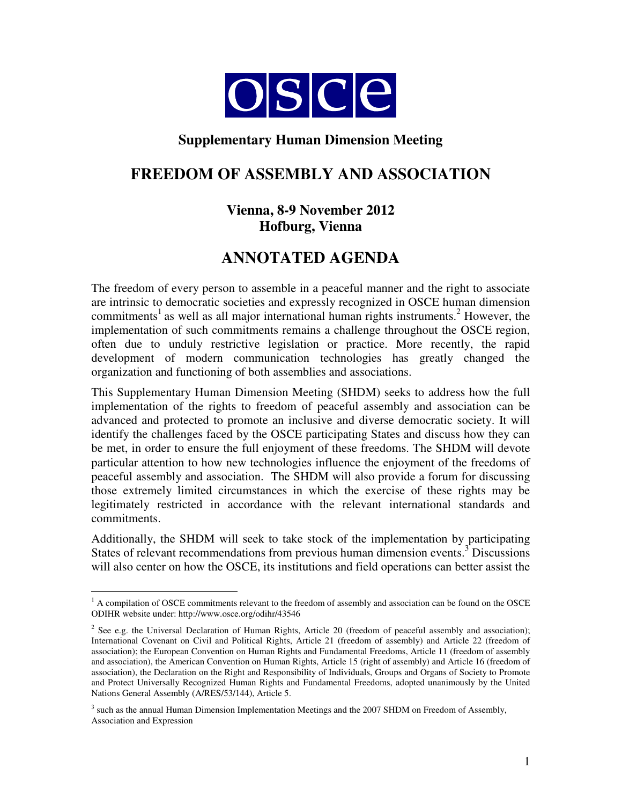

## **Supplementary Human Dimension Meeting**

# **FREEDOM OF ASSEMBLY AND ASSOCIATION**

## **Vienna, 8-9 November 2012 Hofburg, Vienna**

# **ANNOTATED AGENDA**

The freedom of every person to assemble in a peaceful manner and the right to associate are intrinsic to democratic societies and expressly recognized in OSCE human dimension commitments<sup>1</sup> as well as all major international human rights instruments.<sup>2</sup> However, the implementation of such commitments remains a challenge throughout the OSCE region, often due to unduly restrictive legislation or practice. More recently, the rapid development of modern communication technologies has greatly changed the organization and functioning of both assemblies and associations.

This Supplementary Human Dimension Meeting (SHDM) seeks to address how the full implementation of the rights to freedom of peaceful assembly and association can be advanced and protected to promote an inclusive and diverse democratic society. It will identify the challenges faced by the OSCE participating States and discuss how they can be met, in order to ensure the full enjoyment of these freedoms. The SHDM will devote particular attention to how new technologies influence the enjoyment of the freedoms of peaceful assembly and association. The SHDM will also provide a forum for discussing those extremely limited circumstances in which the exercise of these rights may be legitimately restricted in accordance with the relevant international standards and commitments.

Additionally, the SHDM will seek to take stock of the implementation by participating States of relevant recommendations from previous human dimension events.<sup>3</sup> Discussions will also center on how the OSCE, its institutions and field operations can better assist the

 $\overline{a}$ <sup>1</sup> A compilation of OSCE commitments relevant to the freedom of assembly and association can be found on the OSCE ODIHR website under: http://www.osce.org/odihr/43546

 $2^2$  See e.g. the Universal Declaration of Human Rights, Article 20 (freedom of peaceful assembly and association); International Covenant on Civil and Political Rights, Article 21 (freedom of assembly) and Article 22 (freedom of association); the European Convention on Human Rights and Fundamental Freedoms, Article 11 (freedom of assembly and association), the American Convention on Human Rights, Article 15 (right of assembly) and Article 16 (freedom of association), the Declaration on the Right and Responsibility of Individuals, Groups and Organs of Society to Promote and Protect Universally Recognized Human Rights and Fundamental Freedoms, adopted unanimously by the United Nations General Assembly (A/RES/53/144), Article 5.

<sup>&</sup>lt;sup>3</sup> such as the annual Human Dimension Implementation Meetings and the 2007 SHDM on Freedom of Assembly, Association and Expression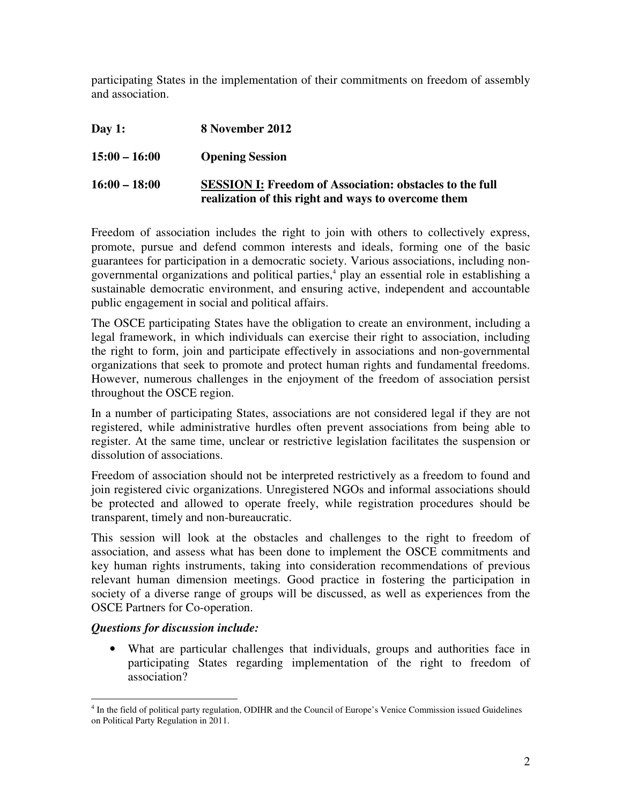participating States in the implementation of their commitments on freedom of assembly and association.

**Day 1: 8 November 2012 15:00 – 16:00 Opening Session 16:00 – 18:00 SESSION I: Freedom of Association: obstacles to the full realization of this right and ways to overcome them**

Freedom of association includes the right to join with others to collectively express, promote, pursue and defend common interests and ideals, forming one of the basic guarantees for participation in a democratic society. Various associations, including nongovernmental organizations and political parties,<sup>4</sup> play an essential role in establishing a sustainable democratic environment, and ensuring active, independent and accountable public engagement in social and political affairs.

The OSCE participating States have the obligation to create an environment, including a legal framework, in which individuals can exercise their right to association, including the right to form, join and participate effectively in associations and non-governmental organizations that seek to promote and protect human rights and fundamental freedoms. However, numerous challenges in the enjoyment of the freedom of association persist throughout the OSCE region.

In a number of participating States, associations are not considered legal if they are not registered, while administrative hurdles often prevent associations from being able to register. At the same time, unclear or restrictive legislation facilitates the suspension or dissolution of associations.

Freedom of association should not be interpreted restrictively as a freedom to found and join registered civic organizations. Unregistered NGOs and informal associations should be protected and allowed to operate freely, while registration procedures should be transparent, timely and non-bureaucratic.

This session will look at the obstacles and challenges to the right to freedom of association, and assess what has been done to implement the OSCE commitments and key human rights instruments, taking into consideration recommendations of previous relevant human dimension meetings. Good practice in fostering the participation in society of a diverse range of groups will be discussed, as well as experiences from the OSCE Partners for Co-operation.

### *Questions for discussion include:*

• What are particular challenges that individuals, groups and authorities face in participating States regarding implementation of the right to freedom of association?

 $\overline{a}$ <sup>4</sup> In the field of political party regulation, ODIHR and the Council of Europe's Venice Commission issued Guidelines on Political Party Regulation in 2011.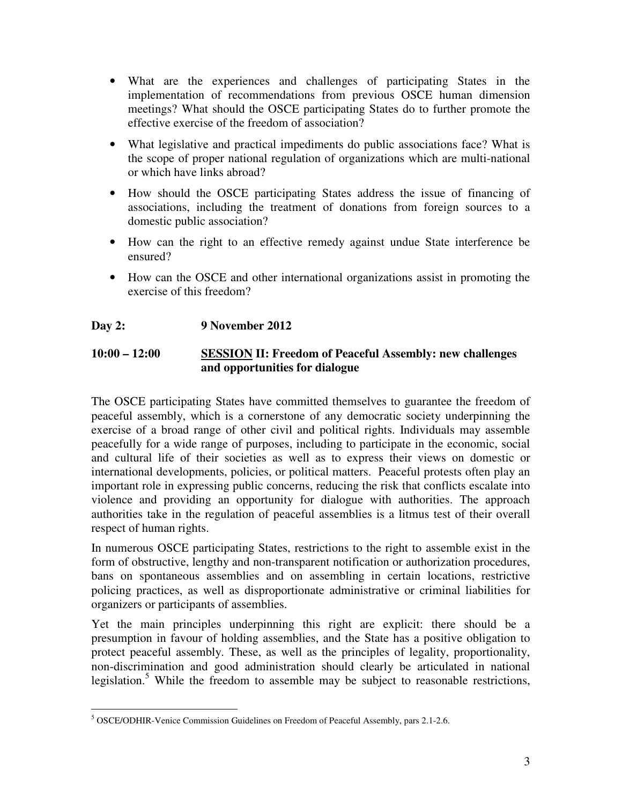- What are the experiences and challenges of participating States in the implementation of recommendations from previous OSCE human dimension meetings? What should the OSCE participating States do to further promote the effective exercise of the freedom of association?
- What legislative and practical impediments do public associations face? What is the scope of proper national regulation of organizations which are multi-national or which have links abroad?
- How should the OSCE participating States address the issue of financing of associations, including the treatment of donations from foreign sources to a domestic public association?
- How can the right to an effective remedy against undue State interference be ensured?
- How can the OSCE and other international organizations assist in promoting the exercise of this freedom?

### **Day 2: 9 November 2012**

### **10:00 – 12:00 SESSION II: Freedom of Peaceful Assembly: new challenges and opportunities for dialogue**

The OSCE participating States have committed themselves to guarantee the freedom of peaceful assembly, which is a cornerstone of any democratic society underpinning the exercise of a broad range of other civil and political rights. Individuals may assemble peacefully for a wide range of purposes, including to participate in the economic, social and cultural life of their societies as well as to express their views on domestic or international developments, policies, or political matters. Peaceful protests often play an important role in expressing public concerns, reducing the risk that conflicts escalate into violence and providing an opportunity for dialogue with authorities. The approach authorities take in the regulation of peaceful assemblies is a litmus test of their overall respect of human rights.

In numerous OSCE participating States, restrictions to the right to assemble exist in the form of obstructive, lengthy and non-transparent notification or authorization procedures, bans on spontaneous assemblies and on assembling in certain locations, restrictive policing practices, as well as disproportionate administrative or criminal liabilities for organizers or participants of assemblies.

Yet the main principles underpinning this right are explicit: there should be a presumption in favour of holding assemblies, and the State has a positive obligation to protect peaceful assembly. These, as well as the principles of legality, proportionality, non-discrimination and good administration should clearly be articulated in national legislation.<sup>5</sup> While the freedom to assemble may be subject to reasonable restrictions,

 $\overline{a}$ 5 OSCE/ODHIR-Venice Commission Guidelines on Freedom of Peaceful Assembly, pars 2.1-2.6.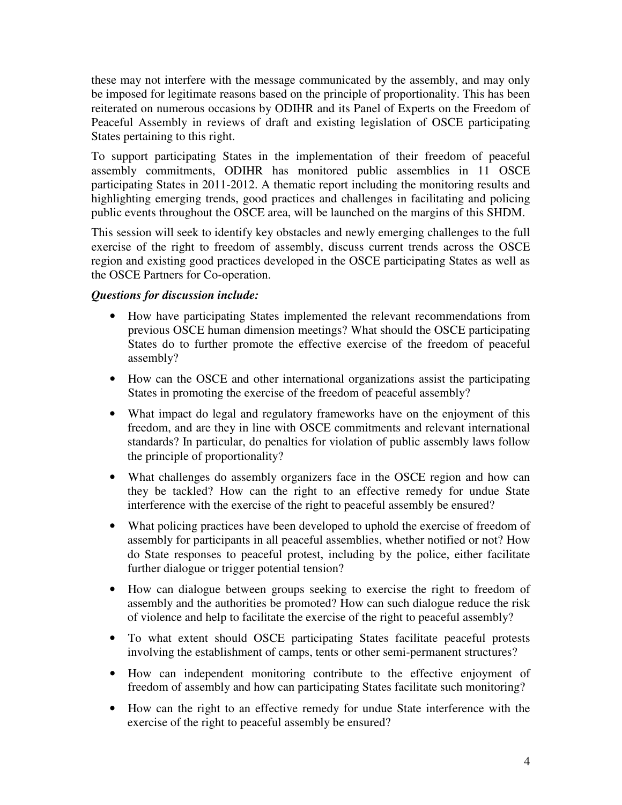these may not interfere with the message communicated by the assembly, and may only be imposed for legitimate reasons based on the principle of proportionality. This has been reiterated on numerous occasions by ODIHR and its Panel of Experts on the Freedom of Peaceful Assembly in reviews of draft and existing legislation of OSCE participating States pertaining to this right.

To support participating States in the implementation of their freedom of peaceful assembly commitments, ODIHR has monitored public assemblies in 11 OSCE participating States in 2011-2012. A thematic report including the monitoring results and highlighting emerging trends, good practices and challenges in facilitating and policing public events throughout the OSCE area, will be launched on the margins of this SHDM.

This session will seek to identify key obstacles and newly emerging challenges to the full exercise of the right to freedom of assembly, discuss current trends across the OSCE region and existing good practices developed in the OSCE participating States as well as the OSCE Partners for Co-operation.

## *Questions for discussion include:*

- How have participating States implemented the relevant recommendations from previous OSCE human dimension meetings? What should the OSCE participating States do to further promote the effective exercise of the freedom of peaceful assembly?
- How can the OSCE and other international organizations assist the participating States in promoting the exercise of the freedom of peaceful assembly?
- What impact do legal and regulatory frameworks have on the enjoyment of this freedom, and are they in line with OSCE commitments and relevant international standards? In particular, do penalties for violation of public assembly laws follow the principle of proportionality?
- What challenges do assembly organizers face in the OSCE region and how can they be tackled? How can the right to an effective remedy for undue State interference with the exercise of the right to peaceful assembly be ensured?
- What policing practices have been developed to uphold the exercise of freedom of assembly for participants in all peaceful assemblies, whether notified or not? How do State responses to peaceful protest, including by the police, either facilitate further dialogue or trigger potential tension?
- How can dialogue between groups seeking to exercise the right to freedom of assembly and the authorities be promoted? How can such dialogue reduce the risk of violence and help to facilitate the exercise of the right to peaceful assembly?
- To what extent should OSCE participating States facilitate peaceful protests involving the establishment of camps, tents or other semi-permanent structures?
- How can independent monitoring contribute to the effective enjoyment of freedom of assembly and how can participating States facilitate such monitoring?
- How can the right to an effective remedy for undue State interference with the exercise of the right to peaceful assembly be ensured?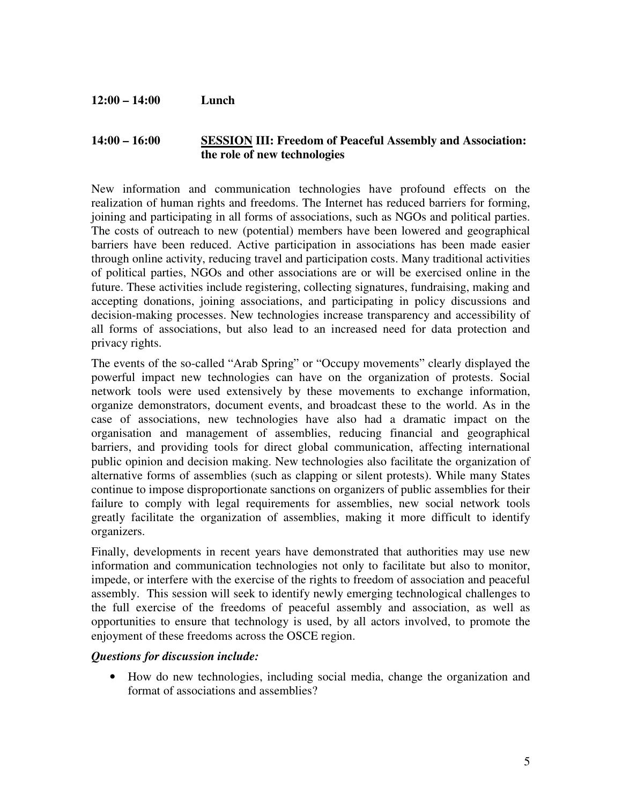#### **12:00 – 14:00 Lunch**

#### **14:00 – 16:00 SESSION III: Freedom of Peaceful Assembly and Association: the role of new technologies**

New information and communication technologies have profound effects on the realization of human rights and freedoms. The Internet has reduced barriers for forming, joining and participating in all forms of associations, such as NGOs and political parties. The costs of outreach to new (potential) members have been lowered and geographical barriers have been reduced. Active participation in associations has been made easier through online activity, reducing travel and participation costs. Many traditional activities of political parties, NGOs and other associations are or will be exercised online in the future. These activities include registering, collecting signatures, fundraising, making and accepting donations, joining associations, and participating in policy discussions and decision-making processes. New technologies increase transparency and accessibility of all forms of associations, but also lead to an increased need for data protection and privacy rights.

The events of the so-called "Arab Spring" or "Occupy movements" clearly displayed the powerful impact new technologies can have on the organization of protests. Social network tools were used extensively by these movements to exchange information, organize demonstrators, document events, and broadcast these to the world. As in the case of associations, new technologies have also had a dramatic impact on the organisation and management of assemblies, reducing financial and geographical barriers, and providing tools for direct global communication, affecting international public opinion and decision making. New technologies also facilitate the organization of alternative forms of assemblies (such as clapping or silent protests). While many States continue to impose disproportionate sanctions on organizers of public assemblies for their failure to comply with legal requirements for assemblies, new social network tools greatly facilitate the organization of assemblies, making it more difficult to identify organizers.

Finally, developments in recent years have demonstrated that authorities may use new information and communication technologies not only to facilitate but also to monitor, impede, or interfere with the exercise of the rights to freedom of association and peaceful assembly. This session will seek to identify newly emerging technological challenges to the full exercise of the freedoms of peaceful assembly and association, as well as opportunities to ensure that technology is used, by all actors involved, to promote the enjoyment of these freedoms across the OSCE region.

#### *Questions for discussion include:*

• How do new technologies, including social media, change the organization and format of associations and assemblies?